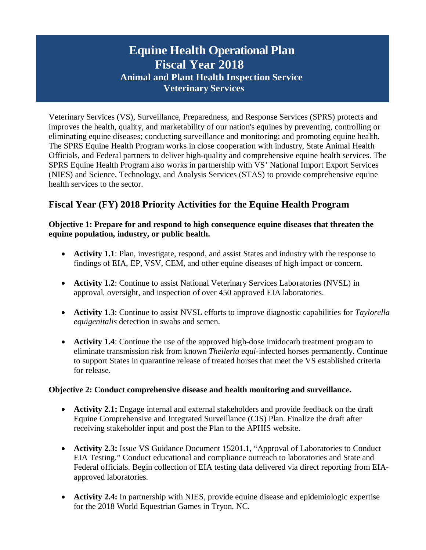# **Equine Health Operational Plan Fiscal Year 2018 Animal and Plant Health Inspection Service Veterinary Services**

Veterinary Services (VS), Surveillance, Preparedness, and Response Services (SPRS) protects and improves the health, quality, and marketability of our nation's equines by preventing, controlling or eliminating equine diseases; conducting surveillance and monitoring; and promoting equine health. The SPRS Equine Health Program works in close cooperation with industry, State Animal Health Officials, and Federal partners to deliver high-quality and comprehensive equine health services. The SPRS Equine Health Program also works in partnership with VS' National Import Export Services (NIES) and Science, Technology, and Analysis Services (STAS) to provide comprehensive equine health services to the sector.

# **Fiscal Year (FY) 2018 Priority Activities for the Equine Health Program**

#### **Objective 1: Prepare for and respond to high consequence equine diseases that threaten the equine population, industry, or public health.**

- **Activity 1.1**: Plan, investigate, respond, and assist States and industry with the response to findings of EIA, EP, VSV, CEM, and other equine diseases of high impact or concern.
- **Activity 1.2**: Continue to assist National Veterinary Services Laboratories (NVSL) in approval, oversight, and inspection of over 450 approved EIA laboratories.
- **Activity 1.3**: Continue to assist NVSL efforts to improve diagnostic capabilities for *Taylorella equigenitalis* detection in swabs and semen.
- **Activity 1.4**: Continue the use of the approved high-dose imidocarb treatment program to eliminate transmission risk from known *Theileria equi*-infected horses permanently. Continue to support States in quarantine release of treated horses that meet the VS established criteria for release.

## **Objective 2: Conduct comprehensive disease and health monitoring and surveillance.**

- **Activity 2.1:** Engage internal and external stakeholders and provide feedback on the draft Equine Comprehensive and Integrated Surveillance (CIS) Plan. Finalize the draft after receiving stakeholder input and post the Plan to the APHIS website.
- **Activity 2.3:** Issue VS Guidance Document 15201.1, "Approval of Laboratories to Conduct EIA Testing." Conduct educational and compliance outreach to laboratories and State and Federal officials. Begin collection of EIA testing data delivered via direct reporting from EIAapproved laboratories.
- **Activity 2.4:** In partnership with NIES, provide equine disease and epidemiologic expertise for the 2018 World Equestrian Games in Tryon, NC.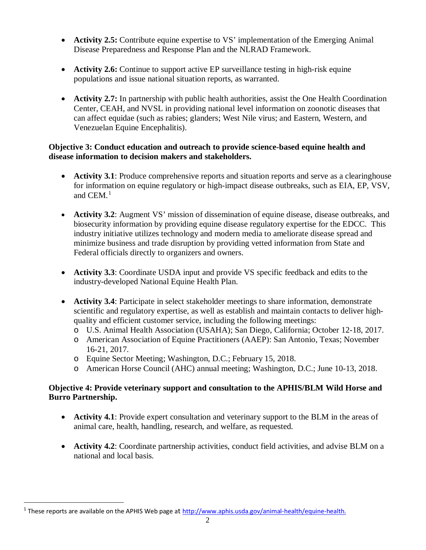- **Activity 2.5:** Contribute equine expertise to VS' implementation of the Emerging Animal Disease Preparedness and Response Plan and the NLRAD Framework.
- **Activity 2.6:** Continue to support active EP surveillance testing in high-risk equine populations and issue national situation reports, as warranted.
- **Activity 2.7:** In partnership with public health authorities, assist the One Health Coordination Center, CEAH, and NVSL in providing national level information on zoonotic diseases that can affect equidae (such as rabies; glanders; West Nile virus; and Eastern, Western, and Venezuelan Equine Encephalitis).

# **Objective 3: Conduct education and outreach to provide science-based equine health and disease information to decision makers and stakeholders.**

- Activity 3.1: Produce comprehensive reports and situation reports and serve as a clearinghouse for information on equine regulatory or high-impact disease outbreaks, such as EIA, EP, VSV, and  $CEM<sup>1</sup>$  $CEM<sup>1</sup>$  $CEM<sup>1</sup>$ .
- **Activity 3.2**: Augment VS' mission of dissemination of equine disease, disease outbreaks, and biosecurity information by providing equine disease regulatory expertise for the EDCC. This industry initiative utilizes technology and modern media to ameliorate disease spread and minimize business and trade disruption by providing vetted information from State and Federal officials directly to organizers and owners.
- **Activity 3.3**: Coordinate USDA input and provide VS specific feedback and edits to the industry-developed National Equine Health Plan.
- **Activity 3.4**: Participate in select stakeholder meetings to share information, demonstrate scientific and regulatory expertise, as well as establish and maintain contacts to deliver highquality and efficient customer service, including the following meetings:
	- o U.S. Animal Health Association (USAHA); San Diego, California; October 12-18, 2017.
	- o American Association of Equine Practitioners (AAEP): San Antonio, Texas; November 16-21, 2017.
	- o Equine Sector Meeting; Washington, D.C.; February 15, 2018.
	- o American Horse Council (AHC) annual meeting; Washington, D.C.; June 10-13, 2018.

# **Objective 4: Provide veterinary support and consultation to the APHIS/BLM Wild Horse and Burro Partnership.**

- **Activity 4.1**: Provide expert consultation and veterinary support to the BLM in the areas of animal care, health, handling, research, and welfare, as requested.
- **Activity 4.2**: Coordinate partnership activities, conduct field activities, and advise BLM on a national and local basis.

<span id="page-1-0"></span><sup>&</sup>lt;sup>1</sup> These reports are available on the APHIS Web page at [http://www.aphis.usda.gov/animal-health/equine-health.](http://www.aphis.usda.gov/animal-health/equine-health)